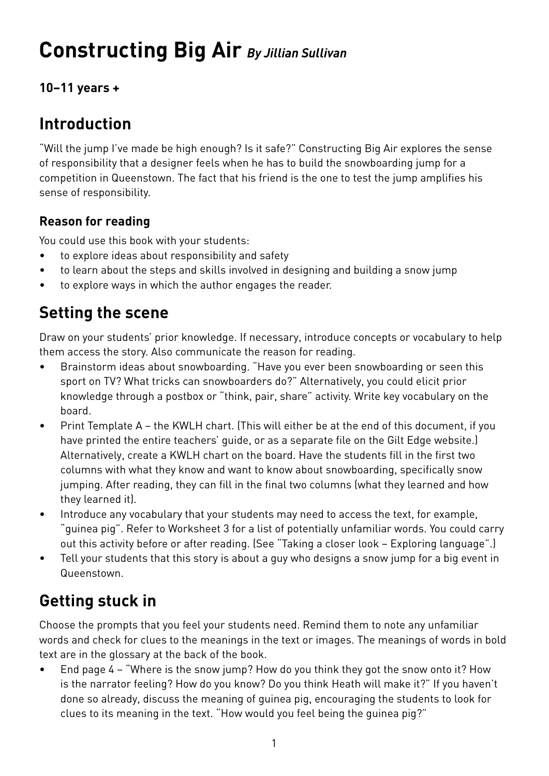# **Constructing Big Air** *By Jillian Sullivan*

**10–11 years +**

## **Introduction**

"Will the jump I've made be high enough? Is it safe?" Constructing Big Air explores the sense of responsibility that a designer feels when he has to build the snowboarding jump for a competition in Queenstown. The fact that his friend is the one to test the jump amplifies his sense of responsibility.

### **Reason for reading**

You could use this book with your students:

- to explore ideas about responsibility and safety
- to learn about the steps and skills involved in designing and building a snow jump
- to explore ways in which the author engages the reader.

## **Setting the scene**

Draw on your students' prior knowledge. If necessary, introduce concepts or vocabulary to help them access the story. Also communicate the reason for reading.

- Brainstorm ideas about snowboarding. "Have you ever been snowboarding or seen this sport on TV? What tricks can snowboarders do?" Alternatively, you could elicit prior knowledge through a postbox or "think, pair, share" activity. Write key vocabulary on the board.
- Print Template A the KWLH chart. (This will either be at the end of this document, if you have printed the entire teachers' guide, or as a separate file on the Gilt Edge website.) Alternatively, create a KWLH chart on the board. Have the students fill in the first two columns with what they know and want to know about snowboarding, specifically snow jumping. After reading, they can fill in the final two columns (what they learned and how they learned it).
- Introduce any vocabulary that your students may need to access the text, for example, "guinea pig". Refer to Worksheet 3 for a list of potentially unfamiliar words. You could carry out this activity before or after reading. (See "Taking a closer look – Exploring language".)
- Tell your students that this story is about a guy who designs a snow jump for a big event in Queenstown.

# **Getting stuck in**

Choose the prompts that you feel your students need. Remind them to note any unfamiliar words and check for clues to the meanings in the text or images. The meanings of words in bold text are in the glossary at the back of the book.

• End page 4 – "Where is the snow jump? How do you think they got the snow onto it? How is the narrator feeling? How do you know? Do you think Heath will make it?" If you haven't done so already, discuss the meaning of guinea pig, encouraging the students to look for clues to its meaning in the text. "How would you feel being the guinea pig?"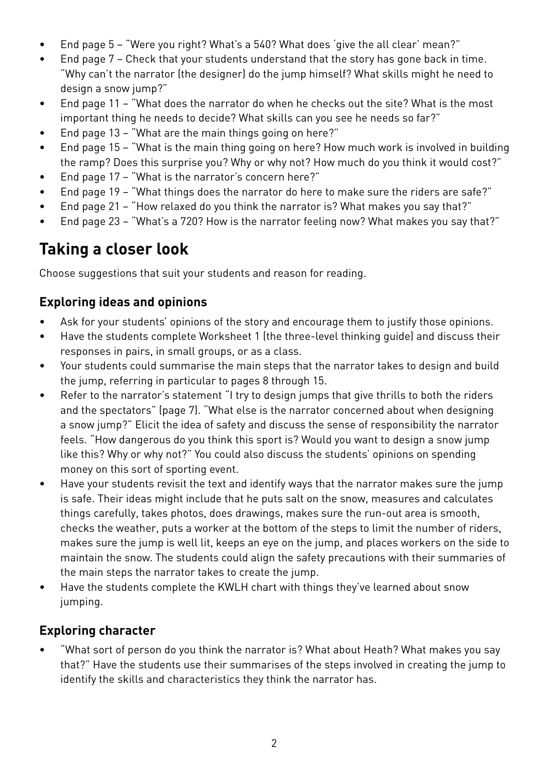- End page 5 "Were you right? What's a 540? What does 'give the all clear' mean?"
- End page 7 Check that your students understand that the story has gone back in time. "Why can't the narrator (the designer) do the jump himself? What skills might he need to design a snow jump?"
- End page 11 "What does the narrator do when he checks out the site? What is the most important thing he needs to decide? What skills can you see he needs so far?"
- End page 13 "What are the main things going on here?"
- End page 15 "What is the main thing going on here? How much work is involved in building the ramp? Does this surprise you? Why or why not? How much do you think it would cost?"
- End page 17 "What is the narrator's concern here?"
- End page 19 "What things does the narrator do here to make sure the riders are safe?"
- End page 21 "How relaxed do you think the narrator is? What makes you say that?"
- End page 23 "What's a 720? How is the narrator feeling now? What makes you say that?"

## **Taking a closer look**

Choose suggestions that suit your students and reason for reading.

### **Exploring ideas and opinions**

- Ask for your students' opinions of the story and encourage them to justify those opinions.
- Have the students complete Worksheet 1 (the three-level thinking guide) and discuss their responses in pairs, in small groups, or as a class.
- Your students could summarise the main steps that the narrator takes to design and build the jump, referring in particular to pages 8 through 15.
- Refer to the narrator's statement "I try to design jumps that give thrills to both the riders and the spectators" (page 7). "What else is the narrator concerned about when designing a snow jump?" Elicit the idea of safety and discuss the sense of responsibility the narrator feels. "How dangerous do you think this sport is? Would you want to design a snow jump like this? Why or why not?" You could also discuss the students' opinions on spending money on this sort of sporting event.
- Have your students revisit the text and identify ways that the narrator makes sure the jump is safe. Their ideas might include that he puts salt on the snow, measures and calculates things carefully, takes photos, does drawings, makes sure the run-out area is smooth, checks the weather, puts a worker at the bottom of the steps to limit the number of riders, makes sure the jump is well lit, keeps an eye on the jump, and places workers on the side to maintain the snow. The students could align the safety precautions with their summaries of the main steps the narrator takes to create the jump.
- Have the students complete the KWLH chart with things they've learned about snow jumping.

### **Exploring character**

• "What sort of person do you think the narrator is? What about Heath? What makes you say that?" Have the students use their summarises of the steps involved in creating the jump to identify the skills and characteristics they think the narrator has.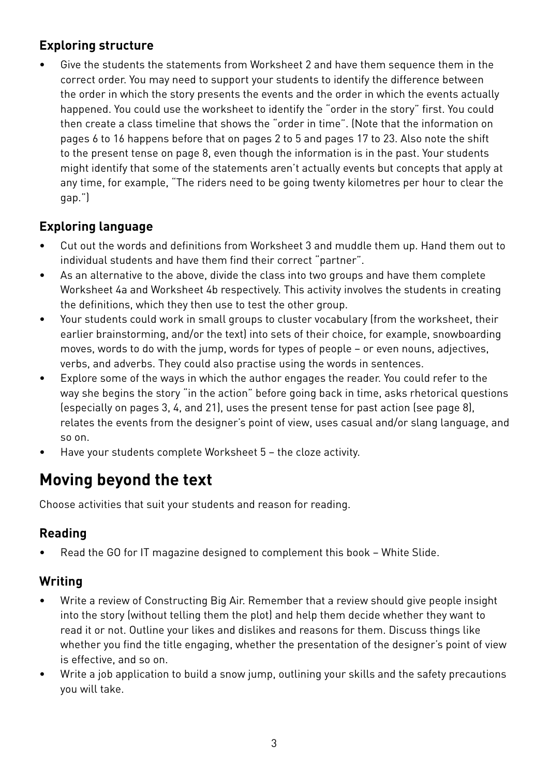### **Exploring structure**

• Give the students the statements from Worksheet 2 and have them sequence them in the correct order. You may need to support your students to identify the difference between the order in which the story presents the events and the order in which the events actually happened. You could use the worksheet to identify the "order in the story" first. You could then create a class timeline that shows the "order in time". (Note that the information on pages 6 to 16 happens before that on pages 2 to 5 and pages 17 to 23. Also note the shift to the present tense on page 8, even though the information is in the past. Your students might identify that some of the statements aren't actually events but concepts that apply at any time, for example, "The riders need to be going twenty kilometres per hour to clear the gap.")

### **Exploring language**

- Cut out the words and definitions from Worksheet 3 and muddle them up. Hand them out to individual students and have them find their correct "partner".
- As an alternative to the above, divide the class into two groups and have them complete Worksheet 4a and Worksheet 4b respectively. This activity involves the students in creating the definitions, which they then use to test the other group.
- Your students could work in small groups to cluster vocabulary (from the worksheet, their earlier brainstorming, and/or the text) into sets of their choice, for example, snowboarding moves, words to do with the jump, words for types of people – or even nouns, adjectives, verbs, and adverbs. They could also practise using the words in sentences.
- Explore some of the ways in which the author engages the reader. You could refer to the way she begins the story "in the action" before going back in time, asks rhetorical questions (especially on pages 3, 4, and 21), uses the present tense for past action (see page 8), relates the events from the designer's point of view, uses casual and/or slang language, and so on.
- Have your students complete Worksheet 5 the cloze activity.

## **Moving beyond the text**

Choose activities that suit your students and reason for reading.

### **Reading**

• Read the GO for IT magazine designed to complement this book – White Slide.

### **Writing**

- Write a review of Constructing Big Air. Remember that a review should give people insight into the story (without telling them the plot) and help them decide whether they want to read it or not. Outline your likes and dislikes and reasons for them. Discuss things like whether you find the title engaging, whether the presentation of the designer's point of view is effective, and so on.
- Write a job application to build a snow jump, outlining your skills and the safety precautions you will take.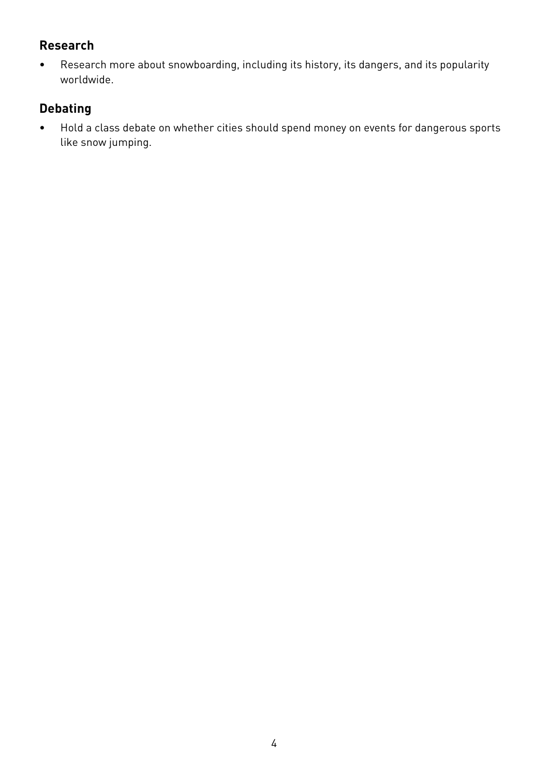### **Research**

• Research more about snowboarding, including its history, its dangers, and its popularity worldwide.

## **Debating**

• Hold a class debate on whether cities should spend money on events for dangerous sports like snow jumping.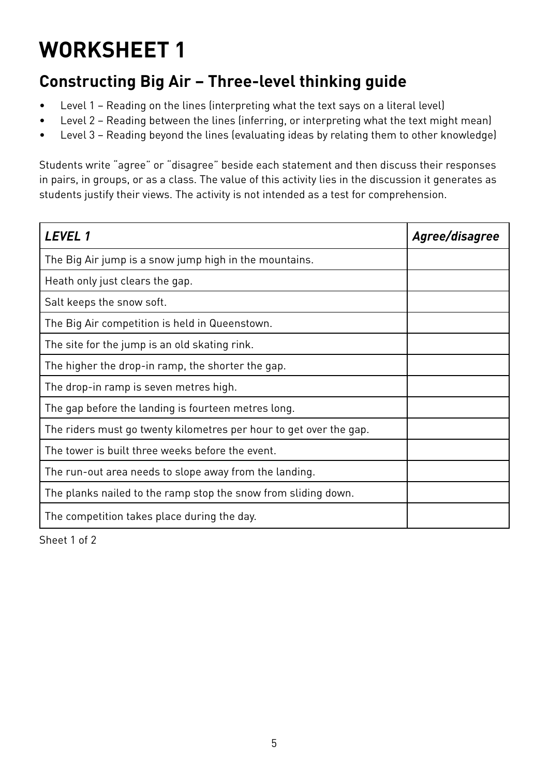## **Constructing Big Air – Three-level thinking guide**

- Level 1 Reading on the lines (interpreting what the text says on a literal level)
- Level 2 Reading between the lines (inferring, or interpreting what the text might mean)
- Level 3 Reading beyond the lines (evaluating ideas by relating them to other knowledge)

Students write "agree" or "disagree" beside each statement and then discuss their responses in pairs, in groups, or as a class. The value of this activity lies in the discussion it generates as students justify their views. The activity is not intended as a test for comprehension.

| <b>LEVEL1</b>                                                      | Agree/disagree |
|--------------------------------------------------------------------|----------------|
| The Big Air jump is a snow jump high in the mountains.             |                |
| Heath only just clears the gap.                                    |                |
| Salt keeps the snow soft.                                          |                |
| The Big Air competition is held in Queenstown.                     |                |
| The site for the jump is an old skating rink.                      |                |
| The higher the drop-in ramp, the shorter the gap.                  |                |
| The drop-in ramp is seven metres high.                             |                |
| The gap before the landing is fourteen metres long.                |                |
| The riders must go twenty kilometres per hour to get over the gap. |                |
| The tower is built three weeks before the event.                   |                |
| The run-out area needs to slope away from the landing.             |                |
| The planks nailed to the ramp stop the snow from sliding down.     |                |
| The competition takes place during the day.                        |                |

Sheet 1 of 2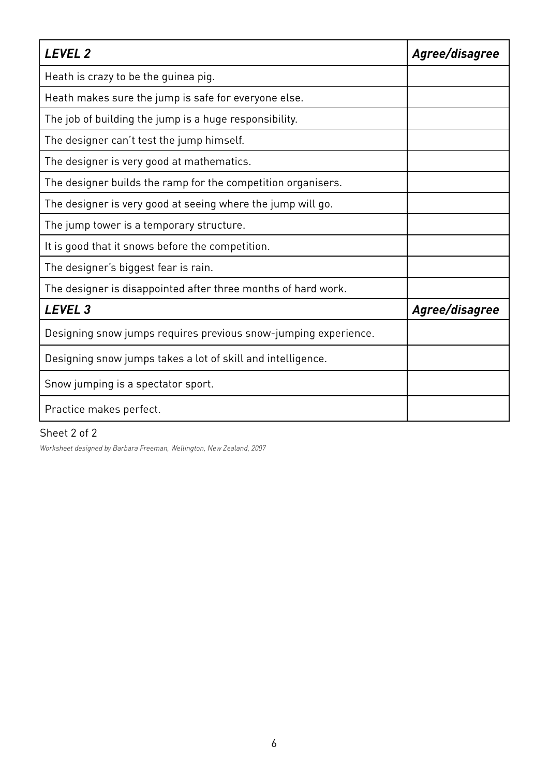| <b>LEVEL 2</b>                                                  | Agree/disagree |
|-----------------------------------------------------------------|----------------|
| Heath is crazy to be the guinea pig.                            |                |
| Heath makes sure the jump is safe for everyone else.            |                |
| The job of building the jump is a huge responsibility.          |                |
| The designer can't test the jump himself.                       |                |
| The designer is very good at mathematics.                       |                |
| The designer builds the ramp for the competition organisers.    |                |
| The designer is very good at seeing where the jump will go.     |                |
| The jump tower is a temporary structure.                        |                |
| It is good that it snows before the competition.                |                |
| The designer's biggest fear is rain.                            |                |
| The designer is disappointed after three months of hard work.   |                |
| LEVEL <sub>3</sub>                                              | Agree/disagree |
| Designing snow jumps requires previous snow-jumping experience. |                |
| Designing snow jumps takes a lot of skill and intelligence.     |                |
| Snow jumping is a spectator sport.                              |                |
| Practice makes perfect.                                         |                |

#### Sheet 2 of 2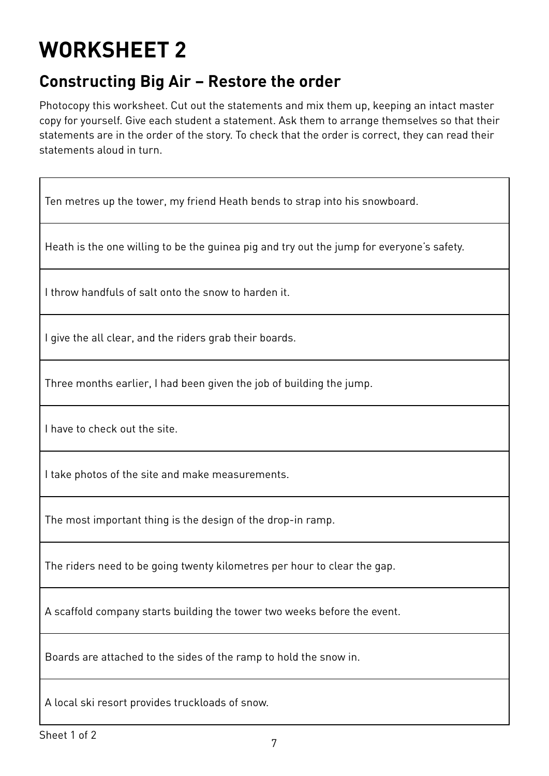## **Constructing Big Air – Restore the order**

Photocopy this worksheet. Cut out the statements and mix them up, keeping an intact master copy for yourself. Give each student a statement. Ask them to arrange themselves so that their statements are in the order of the story. To check that the order is correct, they can read their statements aloud in turn.

Ten metres up the tower, my friend Heath bends to strap into his snowboard.

Heath is the one willing to be the guinea pig and try out the jump for everyone's safety.

I throw handfuls of salt onto the snow to harden it.

I give the all clear, and the riders grab their boards.

Three months earlier, I had been given the job of building the jump.

I have to check out the site.

I take photos of the site and make measurements.

The most important thing is the design of the drop-in ramp.

The riders need to be going twenty kilometres per hour to clear the gap.

A scaffold company starts building the tower two weeks before the event.

Boards are attached to the sides of the ramp to hold the snow in.

A local ski resort provides truckloads of snow.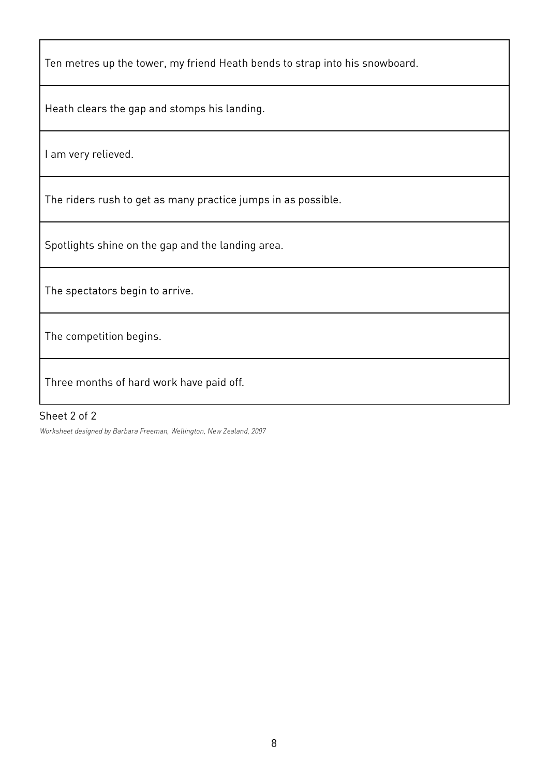Ten metres up the tower, my friend Heath bends to strap into his snowboard.

Heath clears the gap and stomps his landing.

I am very relieved.

The riders rush to get as many practice jumps in as possible.

Spotlights shine on the gap and the landing area.

The spectators begin to arrive.

The competition begins.

Three months of hard work have paid off.

#### Sheet 2 of 2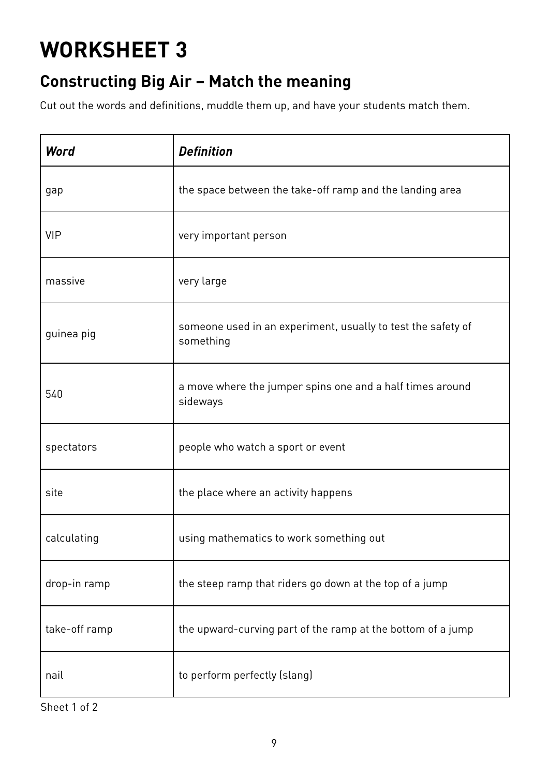## **Constructing Big Air – Match the meaning**

Cut out the words and definitions, muddle them up, and have your students match them.

| Word          | <b>Definition</b>                                                         |
|---------------|---------------------------------------------------------------------------|
| gap           | the space between the take-off ramp and the landing area                  |
| <b>VIP</b>    | very important person                                                     |
| massive       | very large                                                                |
| guinea pig    | someone used in an experiment, usually to test the safety of<br>something |
| 540           | a move where the jumper spins one and a half times around<br>sideways     |
| spectators    | people who watch a sport or event                                         |
| site          | the place where an activity happens                                       |
| calculating   | using mathematics to work something out                                   |
| drop-in ramp  | the steep ramp that riders go down at the top of a jump                   |
| take-off ramp | the upward-curving part of the ramp at the bottom of a jump               |
| nail          | to perform perfectly (slang)                                              |

Sheet 1 of 2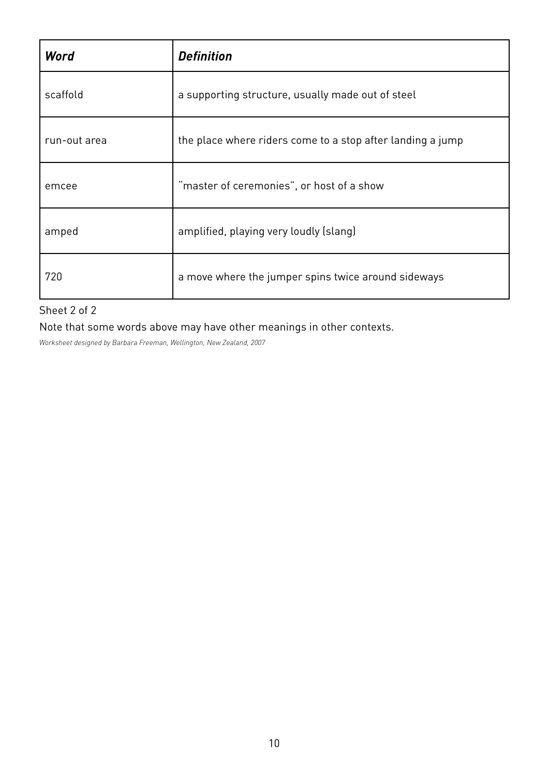| Word         | <b>Definition</b>                                          |  |
|--------------|------------------------------------------------------------|--|
| scaffold     | a supporting structure, usually made out of steel          |  |
| run-out area | the place where riders come to a stop after landing a jump |  |
| emcee        | "master of ceremonies", or host of a show                  |  |
| amped        | amplified, playing very loudly (slang)                     |  |
| 720          | a move where the jumper spins twice around sideways        |  |

Sheet 2 of 2

Note that some words above may have other meanings in other contexts.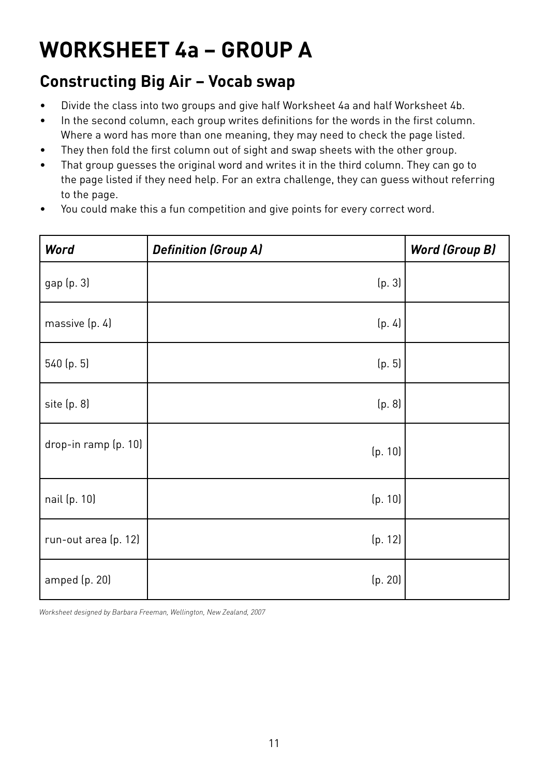# **WORKSHEET 4a – GROUP A**

## **Constructing Big Air – Vocab swap**

- Divide the class into two groups and give half Worksheet 4a and half Worksheet 4b.
- In the second column, each group writes definitions for the words in the first column. Where a word has more than one meaning, they may need to check the page listed.
- They then fold the first column out of sight and swap sheets with the other group.
- That group guesses the original word and writes it in the third column. They can go to the page listed if they need help. For an extra challenge, they can guess without referring to the page.
- You could make this a fun competition and give points for every correct word.

| <b>Word</b>          | <b>Definition (Group A)</b> | <b>Word (Group B)</b> |
|----------------------|-----------------------------|-----------------------|
| gap (p. 3)           | (p. 3)                      |                       |
| massive (p. 4)       | (p. 4)                      |                       |
| 540 (p. 5)           | (p. 5)                      |                       |
| site (p. 8)          | (p. 8)                      |                       |
| drop-in ramp (p. 10) | (p. 10)                     |                       |
| nail (p. 10)         | (p. 10)                     |                       |
| run-out area (p. 12) | (p. 12)                     |                       |
| amped (p. 20)        | (p. 20)                     |                       |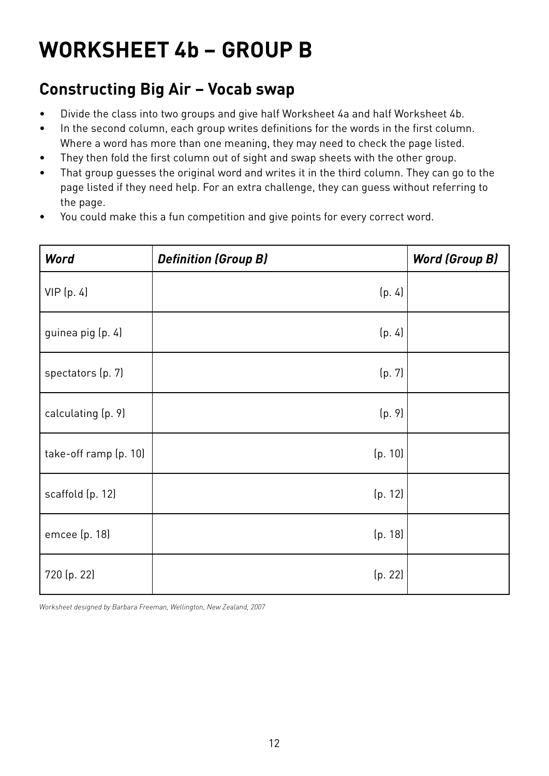# **WORKSHEET 4b – GROUP B**

## **Constructing Big Air – Vocab swap**

- Divide the class into two groups and give half Worksheet 4a and half Worksheet 4b.
- In the second column, each group writes definitions for the words in the first column. Where a word has more than one meaning, they may need to check the page listed.
- They then fold the first column out of sight and swap sheets with the other group.
- That group guesses the original word and writes it in the third column. They can go to the page listed if they need help. For an extra challenge, they can guess without referring to the page.
- You could make this a fun competition and give points for every correct word.

| <b>Word</b>           | <b>Definition (Group B)</b> | <b>Word (Group B)</b> |
|-----------------------|-----------------------------|-----------------------|
| VIP(p. 4)             | (p. 4)                      |                       |
| guinea pig (p. 4)     | (p. 4)                      |                       |
| spectators (p. 7)     | (p. 7)                      |                       |
| calculating (p. 9)    | (p. 9)                      |                       |
| take-off ramp (p. 10) | (p. 10)                     |                       |
| scaffold (p. 12)      | (p. 12)                     |                       |
| emcee (p. 18)         | (p. 18)                     |                       |
| 720 (p. 22)           | (p. 22)                     |                       |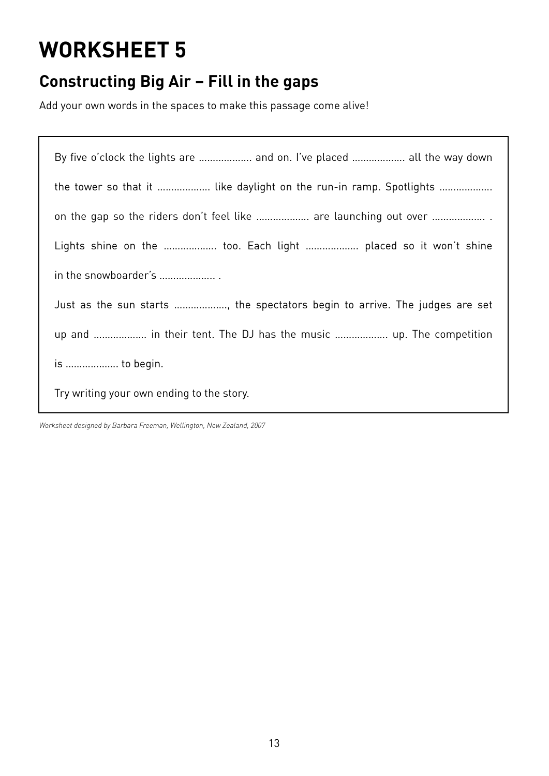## **Constructing Big Air – Fill in the gaps**

Add your own words in the spaces to make this passage come alive!

| By five o'clock the lights are  and on. I've placed  all the way down       |
|-----------------------------------------------------------------------------|
| the tower so that it  like daylight on the run-in ramp. Spotlights          |
| on the gap so the riders don't feel like  are launching out over            |
| Lights shine on the  too. Each light  placed so it won't shine              |
| in the snowboarder's                                                        |
| Just as the sun starts , the spectators begin to arrive. The judges are set |
| up and  in their tent. The DJ has the music  up. The competition            |
| is  to begin.                                                               |
| Try writing your own ending to the story.                                   |